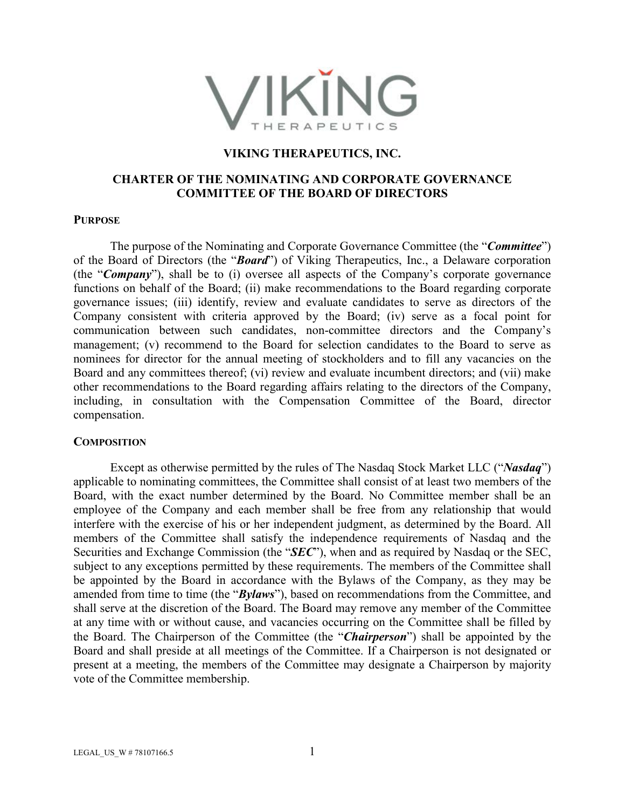

## **VIKING THERAPEUTICS, INC.**

# **CHARTER OF THE NOMINATING AND CORPORATE GOVERNANCE COMMITTEE OF THE BOARD OF DIRECTORS**

#### **PURPOSE**

The purpose of the Nominating and Corporate Governance Committee (the "*Committee*") of the Board of Directors (the "*Board*") of Viking Therapeutics, Inc., a Delaware corporation (the "*Company*"), shall be to (i) oversee all aspects of the Company's corporate governance functions on behalf of the Board; (ii) make recommendations to the Board regarding corporate governance issues; (iii) identify, review and evaluate candidates to serve as directors of the Company consistent with criteria approved by the Board; (iv) serve as a focal point for communication between such candidates, non-committee directors and the Company's management; (v) recommend to the Board for selection candidates to the Board to serve as nominees for director for the annual meeting of stockholders and to fill any vacancies on the Board and any committees thereof; (vi) review and evaluate incumbent directors; and (vii) make other recommendations to the Board regarding affairs relating to the directors of the Company, including, in consultation with the Compensation Committee of the Board, director compensation.

### **COMPOSITION**

Except as otherwise permitted by the rules of The Nasdaq Stock Market LLC ("*Nasdaq*") applicable to nominating committees, the Committee shall consist of at least two members of the Board, with the exact number determined by the Board. No Committee member shall be an employee of the Company and each member shall be free from any relationship that would interfere with the exercise of his or her independent judgment, as determined by the Board. All members of the Committee shall satisfy the independence requirements of Nasdaq and the Securities and Exchange Commission (the "*SEC*"), when and as required by Nasdaq or the SEC, subject to any exceptions permitted by these requirements. The members of the Committee shall be appointed by the Board in accordance with the Bylaws of the Company, as they may be amended from time to time (the "*Bylaws*"), based on recommendations from the Committee, and shall serve at the discretion of the Board. The Board may remove any member of the Committee at any time with or without cause, and vacancies occurring on the Committee shall be filled by the Board. The Chairperson of the Committee (the "*Chairperson*") shall be appointed by the Board and shall preside at all meetings of the Committee. If a Chairperson is not designated or present at a meeting, the members of the Committee may designate a Chairperson by majority vote of the Committee membership.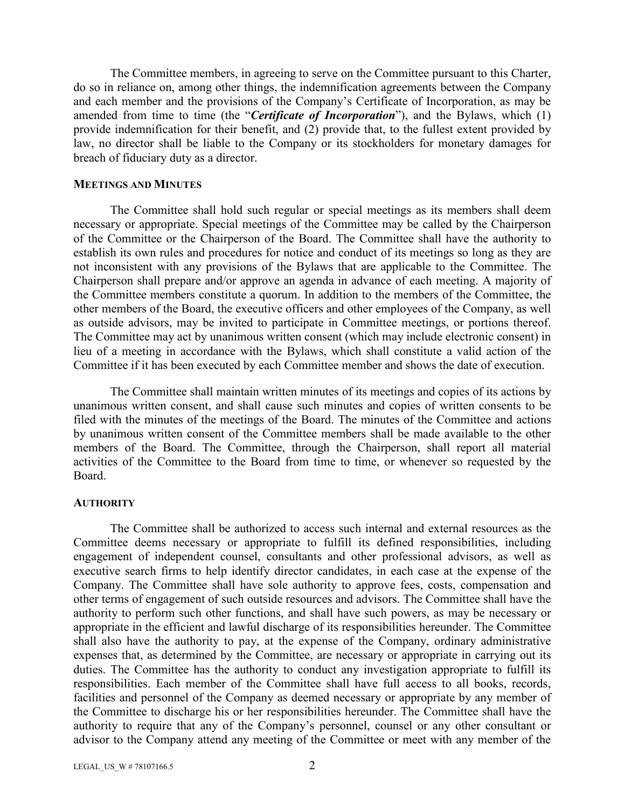The Committee members, in agreeing to serve on the Committee pursuant to this Charter, do so in reliance on, among other things, the indemnification agreements between the Company and each member and the provisions of the Company's Certificate of Incorporation, as may be amended from time to time (the "*Certificate of Incorporation*"), and the Bylaws, which (1) provide indemnification for their benefit, and (2) provide that, to the fullest extent provided by law, no director shall be liable to the Company or its stockholders for monetary damages for breach of fiduciary duty as a director.

#### **MEETINGS AND MINUTES**

The Committee shall hold such regular or special meetings as its members shall deem necessary or appropriate. Special meetings of the Committee may be called by the Chairperson of the Committee or the Chairperson of the Board. The Committee shall have the authority to establish its own rules and procedures for notice and conduct of its meetings so long as they are not inconsistent with any provisions of the Bylaws that are applicable to the Committee. The Chairperson shall prepare and/or approve an agenda in advance of each meeting. A majority of the Committee members constitute a quorum. In addition to the members of the Committee, the other members of the Board, the executive officers and other employees of the Company, as well as outside advisors, may be invited to participate in Committee meetings, or portions thereof. The Committee may act by unanimous written consent (which may include electronic consent) in lieu of a meeting in accordance with the Bylaws, which shall constitute a valid action of the Committee if it has been executed by each Committee member and shows the date of execution.

The Committee shall maintain written minutes of its meetings and copies of its actions by unanimous written consent, and shall cause such minutes and copies of written consents to be filed with the minutes of the meetings of the Board. The minutes of the Committee and actions by unanimous written consent of the Committee members shall be made available to the other members of the Board. The Committee, through the Chairperson, shall report all material activities of the Committee to the Board from time to time, or whenever so requested by the Board.

### **AUTHORITY**

The Committee shall be authorized to access such internal and external resources as the Committee deems necessary or appropriate to fulfill its defined responsibilities, including engagement of independent counsel, consultants and other professional advisors, as well as executive search firms to help identify director candidates, in each case at the expense of the Company. The Committee shall have sole authority to approve fees, costs, compensation and other terms of engagement of such outside resources and advisors. The Committee shall have the authority to perform such other functions, and shall have such powers, as may be necessary or appropriate in the efficient and lawful discharge of its responsibilities hereunder. The Committee shall also have the authority to pay, at the expense of the Company, ordinary administrative expenses that, as determined by the Committee, are necessary or appropriate in carrying out its duties. The Committee has the authority to conduct any investigation appropriate to fulfill its responsibilities. Each member of the Committee shall have full access to all books, records, facilities and personnel of the Company as deemed necessary or appropriate by any member of the Committee to discharge his or her responsibilities hereunder. The Committee shall have the authority to require that any of the Company's personnel, counsel or any other consultant or advisor to the Company attend any meeting of the Committee or meet with any member of the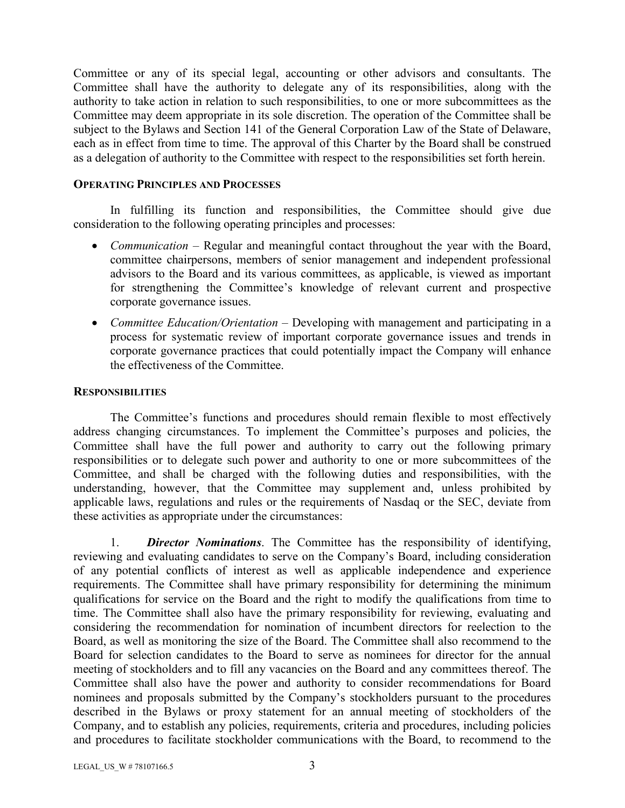Committee or any of its special legal, accounting or other advisors and consultants. The Committee shall have the authority to delegate any of its responsibilities, along with the authority to take action in relation to such responsibilities, to one or more subcommittees as the Committee may deem appropriate in its sole discretion. The operation of the Committee shall be subject to the Bylaws and Section 141 of the General Corporation Law of the State of Delaware, each as in effect from time to time. The approval of this Charter by the Board shall be construed as a delegation of authority to the Committee with respect to the responsibilities set forth herein.

## **OPERATING PRINCIPLES AND PROCESSES**

In fulfilling its function and responsibilities, the Committee should give due consideration to the following operating principles and processes:

- *Communication* Regular and meaningful contact throughout the year with the Board, committee chairpersons, members of senior management and independent professional advisors to the Board and its various committees, as applicable, is viewed as important for strengthening the Committee's knowledge of relevant current and prospective corporate governance issues.
- *Committee Education/Orientation* Developing with management and participating in a process for systematic review of important corporate governance issues and trends in corporate governance practices that could potentially impact the Company will enhance the effectiveness of the Committee.

## **RESPONSIBILITIES**

The Committee's functions and procedures should remain flexible to most effectively address changing circumstances. To implement the Committee's purposes and policies, the Committee shall have the full power and authority to carry out the following primary responsibilities or to delegate such power and authority to one or more subcommittees of the Committee, and shall be charged with the following duties and responsibilities, with the understanding, however, that the Committee may supplement and, unless prohibited by applicable laws, regulations and rules or the requirements of Nasdaq or the SEC, deviate from these activities as appropriate under the circumstances:

1. *Director Nominations*. The Committee has the responsibility of identifying, reviewing and evaluating candidates to serve on the Company's Board, including consideration of any potential conflicts of interest as well as applicable independence and experience requirements. The Committee shall have primary responsibility for determining the minimum qualifications for service on the Board and the right to modify the qualifications from time to time. The Committee shall also have the primary responsibility for reviewing, evaluating and considering the recommendation for nomination of incumbent directors for reelection to the Board, as well as monitoring the size of the Board. The Committee shall also recommend to the Board for selection candidates to the Board to serve as nominees for director for the annual meeting of stockholders and to fill any vacancies on the Board and any committees thereof. The Committee shall also have the power and authority to consider recommendations for Board nominees and proposals submitted by the Company's stockholders pursuant to the procedures described in the Bylaws or proxy statement for an annual meeting of stockholders of the Company, and to establish any policies, requirements, criteria and procedures, including policies and procedures to facilitate stockholder communications with the Board, to recommend to the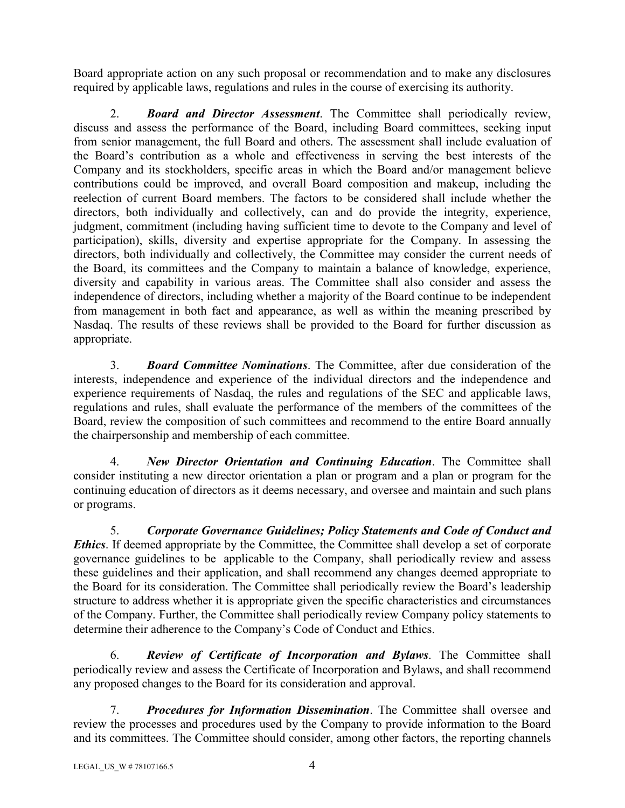Board appropriate action on any such proposal or recommendation and to make any disclosures required by applicable laws, regulations and rules in the course of exercising its authority.

2. *Board and Director Assessment*. The Committee shall periodically review, discuss and assess the performance of the Board, including Board committees, seeking input from senior management, the full Board and others. The assessment shall include evaluation of the Board's contribution as a whole and effectiveness in serving the best interests of the Company and its stockholders, specific areas in which the Board and/or management believe contributions could be improved, and overall Board composition and makeup, including the reelection of current Board members. The factors to be considered shall include whether the directors, both individually and collectively, can and do provide the integrity, experience, judgment, commitment (including having sufficient time to devote to the Company and level of participation), skills, diversity and expertise appropriate for the Company. In assessing the directors, both individually and collectively, the Committee may consider the current needs of the Board, its committees and the Company to maintain a balance of knowledge, experience, diversity and capability in various areas. The Committee shall also consider and assess the independence of directors, including whether a majority of the Board continue to be independent from management in both fact and appearance, as well as within the meaning prescribed by Nasdaq. The results of these reviews shall be provided to the Board for further discussion as appropriate.

3. *Board Committee Nominations*. The Committee, after due consideration of the interests, independence and experience of the individual directors and the independence and experience requirements of Nasdaq, the rules and regulations of the SEC and applicable laws, regulations and rules, shall evaluate the performance of the members of the committees of the Board, review the composition of such committees and recommend to the entire Board annually the chairpersonship and membership of each committee.

4. *New Director Orientation and Continuing Education*. The Committee shall consider instituting a new director orientation a plan or program and a plan or program for the continuing education of directors as it deems necessary, and oversee and maintain and such plans or programs.

5. *Corporate Governance Guidelines; Policy Statements and Code of Conduct and Ethics*. If deemed appropriate by the Committee, the Committee shall develop a set of corporate governance guidelines to be applicable to the Company, shall periodically review and assess these guidelines and their application, and shall recommend any changes deemed appropriate to the Board for its consideration. The Committee shall periodically review the Board's leadership structure to address whether it is appropriate given the specific characteristics and circumstances of the Company. Further, the Committee shall periodically review Company policy statements to determine their adherence to the Company's Code of Conduct and Ethics.

6. *Review of Certificate of Incorporation and Bylaws*. The Committee shall periodically review and assess the Certificate of Incorporation and Bylaws, and shall recommend any proposed changes to the Board for its consideration and approval.

7. *Procedures for Information Dissemination*. The Committee shall oversee and review the processes and procedures used by the Company to provide information to the Board and its committees. The Committee should consider, among other factors, the reporting channels